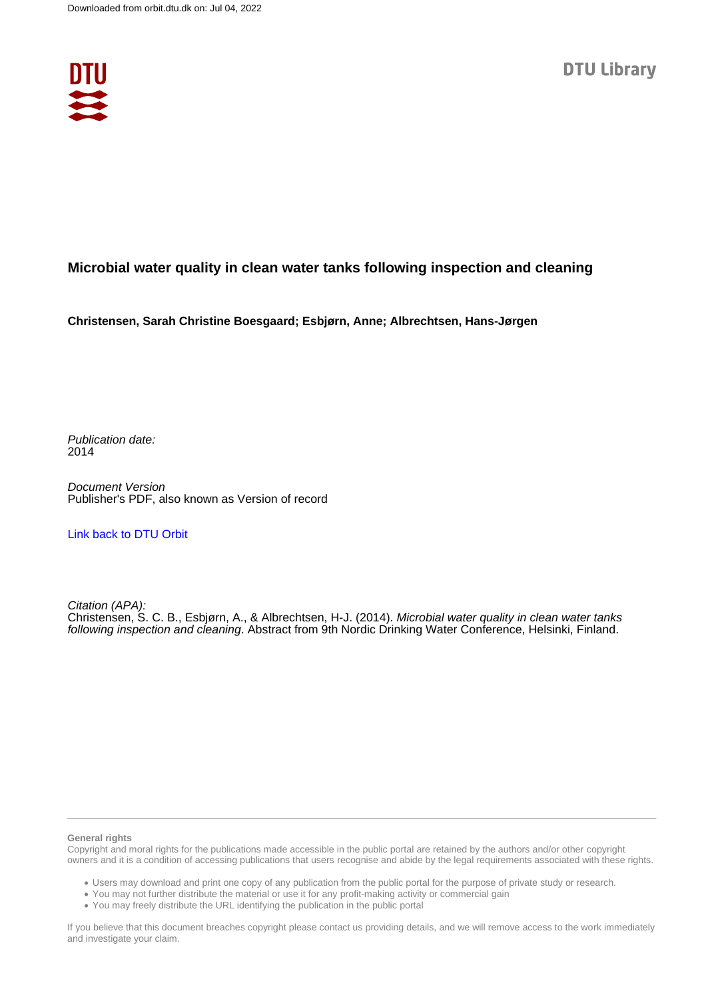

## **Microbial water quality in clean water tanks following inspection and cleaning**

**Christensen, Sarah Christine Boesgaard; Esbjørn, Anne; Albrechtsen, Hans-Jørgen**

Publication date: 2014

Document Version Publisher's PDF, also known as Version of record

[Link back to DTU Orbit](https://orbit.dtu.dk/en/publications/d4ed3251-06ec-45a4-b6c0-ae14ff1d83b7)

Citation (APA): Christensen, S. C. B., Esbjørn, A., & Albrechtsen, H-J. (2014). Microbial water quality in clean water tanks following inspection and cleaning. Abstract from 9th Nordic Drinking Water Conference, Helsinki, Finland.

## **General rights**

Copyright and moral rights for the publications made accessible in the public portal are retained by the authors and/or other copyright owners and it is a condition of accessing publications that users recognise and abide by the legal requirements associated with these rights.

Users may download and print one copy of any publication from the public portal for the purpose of private study or research.

- You may not further distribute the material or use it for any profit-making activity or commercial gain
- You may freely distribute the URL identifying the publication in the public portal

If you believe that this document breaches copyright please contact us providing details, and we will remove access to the work immediately and investigate your claim.